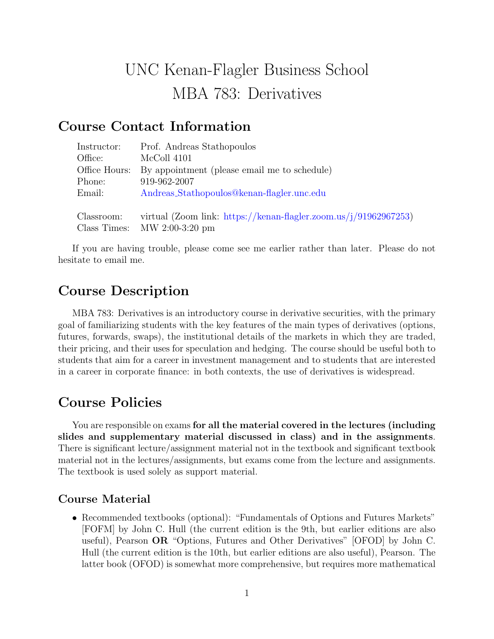# UNC Kenan-Flagler Business School MBA 783: Derivatives

## Course Contact Information

Class Times: MW 2:00-3:20 pm

| Instructor:   | Prof. Andreas Stathopoulos                                       |
|---------------|------------------------------------------------------------------|
| Office:       | McColl 4101                                                      |
| Office Hours: | By appointment (please email me to schedule)                     |
| Phone:        | 919-962-2007                                                     |
| Email:        | Andreas_Stathopoulos@kenan-flagler.unc.edu                       |
| Classroom:    | virtual (Zoom link: https://kenan-flagler.zoom.us/j/91962967253) |

If you are having trouble, please come see me earlier rather than later. Please do not hesitate to email me.

# Course Description

MBA 783: Derivatives is an introductory course in derivative securities, with the primary goal of familiarizing students with the key features of the main types of derivatives (options, futures, forwards, swaps), the institutional details of the markets in which they are traded, their pricing, and their uses for speculation and hedging. The course should be useful both to students that aim for a career in investment management and to students that are interested in a career in corporate finance: in both contexts, the use of derivatives is widespread.

# Course Policies

You are responsible on exams for all the material covered in the lectures (including slides and supplementary material discussed in class) and in the assignments. There is significant lecture/assignment material not in the textbook and significant textbook material not in the lectures/assignments, but exams come from the lecture and assignments. The textbook is used solely as support material.

#### Course Material

• Recommended textbooks (optional): "Fundamentals of Options and Futures Markets" [FOFM] by John C. Hull (the current edition is the 9th, but earlier editions are also useful), Pearson OR "Options, Futures and Other Derivatives" [OFOD] by John C. Hull (the current edition is the 10th, but earlier editions are also useful), Pearson. The latter book (OFOD) is somewhat more comprehensive, but requires more mathematical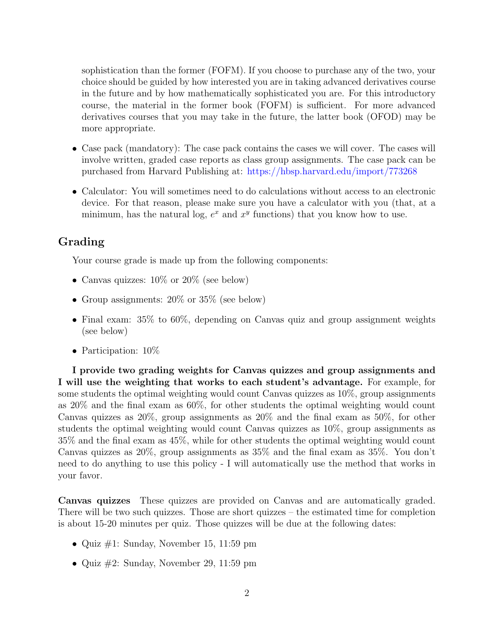sophistication than the former (FOFM). If you choose to purchase any of the two, your choice should be guided by how interested you are in taking advanced derivatives course in the future and by how mathematically sophisticated you are. For this introductory course, the material in the former book (FOFM) is sufficient. For more advanced derivatives courses that you may take in the future, the latter book (OFOD) may be more appropriate.

- Case pack (mandatory): The case pack contains the cases we will cover. The cases will involve written, graded case reports as class group assignments. The case pack can be purchased from Harvard Publishing at: <https://hbsp.harvard.edu/import/773268>
- Calculator: You will sometimes need to do calculations without access to an electronic device. For that reason, please make sure you have a calculator with you (that, at a minimum, has the natural log,  $e^x$  and  $x^y$  functions) that you know how to use.

### Grading

Your course grade is made up from the following components:

- Canvas quizzes:  $10\%$  or  $20\%$  (see below)
- Group assignments:  $20\%$  or  $35\%$  (see below)
- Final exam:  $35\%$  to  $60\%$ , depending on Canvas quiz and group assignment weights (see below)
- Participation:  $10\%$

I provide two grading weights for Canvas quizzes and group assignments and I will use the weighting that works to each student's advantage. For example, for some students the optimal weighting would count Canvas quizzes as 10%, group assignments as 20% and the final exam as 60%, for other students the optimal weighting would count Canvas quizzes as 20%, group assignments as 20% and the final exam as 50%, for other students the optimal weighting would count Canvas quizzes as 10%, group assignments as 35% and the final exam as 45%, while for other students the optimal weighting would count Canvas quizzes as 20%, group assignments as 35% and the final exam as 35%. You don't need to do anything to use this policy - I will automatically use the method that works in your favor.

Canvas quizzes These quizzes are provided on Canvas and are automatically graded. There will be two such quizzes. Those are short quizzes – the estimated time for completion is about 15-20 minutes per quiz. Those quizzes will be due at the following dates:

- Quiz  $\#1$ : Sunday, November 15, 11:59 pm
- Quiz  $\#2$ : Sunday, November 29, 11:59 pm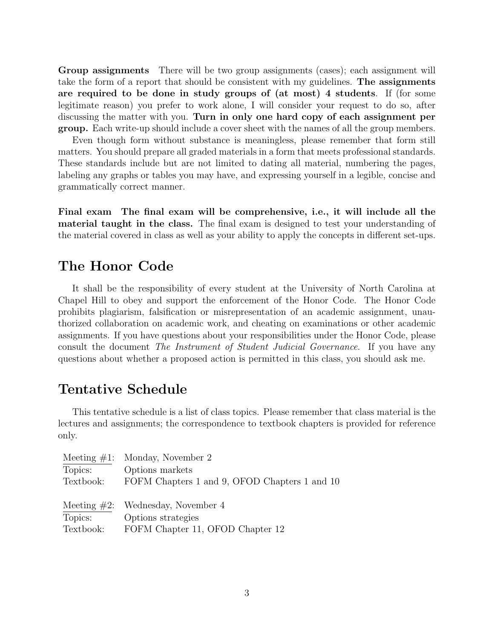Group assignments There will be two group assignments (cases); each assignment will take the form of a report that should be consistent with my guidelines. The assignments are required to be done in study groups of (at most) 4 students. If (for some legitimate reason) you prefer to work alone, I will consider your request to do so, after discussing the matter with you. Turn in only one hard copy of each assignment per group. Each write-up should include a cover sheet with the names of all the group members.

Even though form without substance is meaningless, please remember that form still matters. You should prepare all graded materials in a form that meets professional standards. These standards include but are not limited to dating all material, numbering the pages, labeling any graphs or tables you may have, and expressing yourself in a legible, concise and grammatically correct manner.

Final exam The final exam will be comprehensive, i.e., it will include all the material taught in the class. The final exam is designed to test your understanding of the material covered in class as well as your ability to apply the concepts in different set-ups.

## The Honor Code

It shall be the responsibility of every student at the University of North Carolina at Chapel Hill to obey and support the enforcement of the Honor Code. The Honor Code prohibits plagiarism, falsification or misrepresentation of an academic assignment, unauthorized collaboration on academic work, and cheating on examinations or other academic assignments. If you have questions about your responsibilities under the Honor Code, please consult the document The Instrument of Student Judicial Governance. If you have any questions about whether a proposed action is permitted in this class, you should ask me.

## Tentative Schedule

This tentative schedule is a list of class topics. Please remember that class material is the lectures and assignments; the correspondence to textbook chapters is provided for reference only.

| Monday, November 2                            |
|-----------------------------------------------|
| Options markets                               |
| FOFM Chapters 1 and 9, OFOD Chapters 1 and 10 |
|                                               |
| Wednesday, November 4                         |
| Options strategies                            |
| FOFM Chapter 11, OFOD Chapter 12              |
|                                               |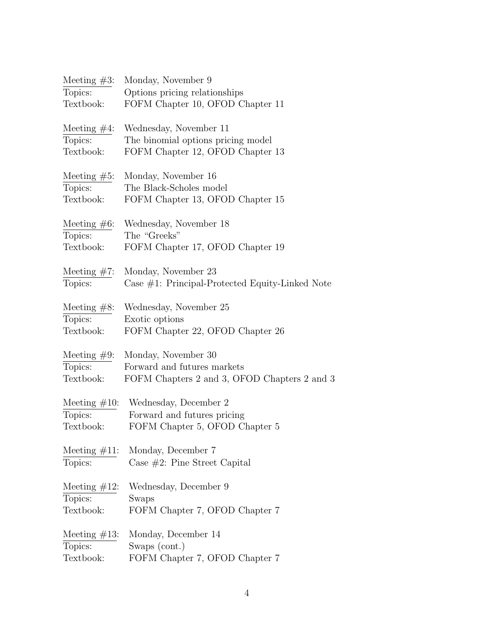| Meeting $#3$ :  | Monday, November 9                                 |
|-----------------|----------------------------------------------------|
| Topics:         | Options pricing relationships                      |
| Textbook:       | FOFM Chapter 10, OFOD Chapter 11                   |
| Meeting $#4$ :  | Wednesday, November 11                             |
| Topics:         | The binomial options pricing model                 |
| Textbook:       | FOFM Chapter 12, OFOD Chapter 13                   |
| Meeting $#5$ :  | Monday, November 16                                |
| Topics:         | The Black-Scholes model                            |
| Textbook:       | FOFM Chapter 13, OFOD Chapter 15                   |
| Meeting $#6$ :  | Wednesday, November 18                             |
| Topics:         | The "Greeks"                                       |
| Textbook:       | FOFM Chapter 17, OFOD Chapter 19                   |
| Meeting $#7$ :  | Monday, November 23                                |
| Topics:         | Case $#1$ : Principal-Protected Equity-Linked Note |
| Meeting $#8$ :  | Wednesday, November 25                             |
| Topics:         | Exotic options                                     |
| Textbook:       | FOFM Chapter 22, OFOD Chapter 26                   |
| Meeting $#9$ :  | Monday, November 30                                |
| Topics:         | Forward and futures markets                        |
| Textbook:       | FOFM Chapters 2 and 3, OFOD Chapters 2 and 3       |
| Meeting $#10$ : | Wednesday, December 2                              |
| Topics:         | Forward and futures pricing                        |
| Textbook:       | FOFM Chapter 5, OFOD Chapter 5                     |
| Meeting $#11$ : | Monday, December 7                                 |
| Topics:         | Case $#2$ : Pine Street Capital                    |
| Meeting $#12$ : | Wednesday, December 9                              |
| Topics:         | Swaps                                              |
| Textbook:       | FOFM Chapter 7, OFOD Chapter 7                     |
| Meeting $#13$ : | Monday, December 14                                |
| Topics:         | Swaps (cont.)                                      |
| Textbook:       | FOFM Chapter 7, OFOD Chapter 7                     |